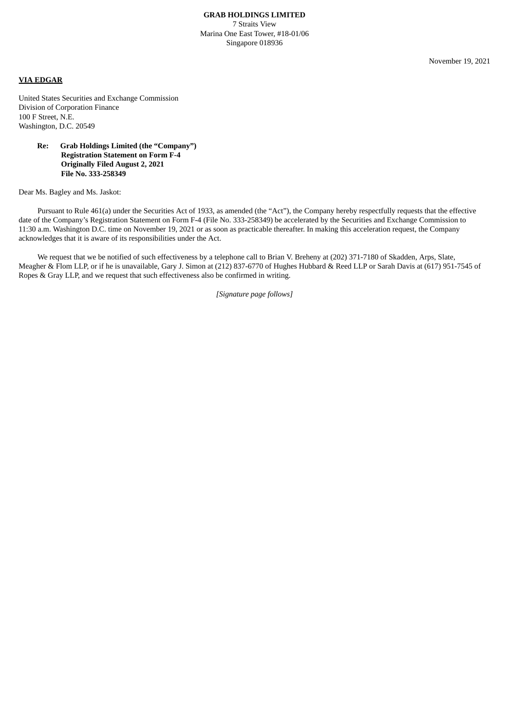November 19, 2021

## **VIA EDGAR**

United States Securities and Exchange Commission Division of Corporation Finance 100 F Street, N.E. Washington, D.C. 20549

## **Re: Grab Holdings Limited (the "Company") Registration Statement on Form F-4 Originally Filed August 2, 2021 File No. 333-258349**

Dear Ms. Bagley and Ms. Jaskot:

Pursuant to Rule 461(a) under the Securities Act of 1933, as amended (the "Act"), the Company hereby respectfully requests that the effective date of the Company's Registration Statement on Form F-4 (File No. 333-258349) be accelerated by the Securities and Exchange Commission to 11:30 a.m. Washington D.C. time on November 19, 2021 or as soon as practicable thereafter. In making this acceleration request, the Company acknowledges that it is aware of its responsibilities under the Act.

We request that we be notified of such effectiveness by a telephone call to Brian V. Breheny at (202) 371-7180 of Skadden, Arps, Slate, Meagher & Flom LLP, or if he is unavailable, Gary J. Simon at (212) 837-6770 of Hughes Hubbard & Reed LLP or Sarah Davis at (617) 951-7545 of Ropes & Gray LLP, and we request that such effectiveness also be confirmed in writing.

*[Signature page follows]*